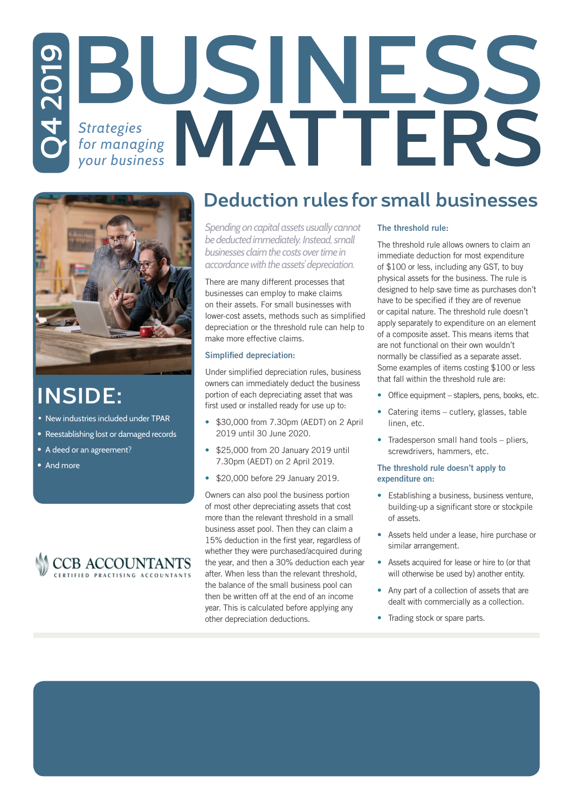# *Strategies for managing*  **Q4 2019** *your business*



# **INSIDE:**

- New industries included under TPAR
- Reestablishing lost or damaged records
- A deed or an agreement?
- And more



### **Deduction rules for small businesses**

*Spending on capital assets usually cannot be deducted immediately. Instead, small businesses claim the costs over time in accordance with the assets' depreciation.* 

There are many different processes that businesses can employ to make claims on their assets. For small businesses with lower-cost assets, methods such as simplified depreciation or the threshold rule can help to make more effective claims.

#### Simplified depreciation:

Under simplified depreciation rules, business owners can immediately deduct the business portion of each depreciating asset that was first used or installed ready for use up to:

- \$30,000 from 7.30pm (AEDT) on 2 April 2019 until 30 June 2020.
- \$25,000 from 20 January 2019 until 7.30pm (AEDT) on 2 April 2019.
- \$20,000 before 29 January 2019.

Owners can also pool the business portion of most other depreciating assets that cost more than the relevant threshold in a small business asset pool. Then they can claim a 15% deduction in the first year, regardless of whether they were purchased/acquired during the year, and then a 30% deduction each year after. When less than the relevant threshold, the balance of the small business pool can then be written off at the end of an income year. This is calculated before applying any other depreciation deductions.

#### The threshold rule:

The threshold rule allows owners to claim an immediate deduction for most expenditure of \$100 or less, including any GST, to buy physical assets for the business. The rule is designed to help save time as purchases don't have to be specified if they are of revenue or capital nature. The threshold rule doesn't apply separately to expenditure on an element of a composite asset. This means items that are not functional on their own wouldn't normally be classified as a separate asset. Some examples of items costing \$100 or less that fall within the threshold rule are:

- Office equipment staplers, pens, books, etc.
- Catering items cutlery, glasses, table linen, etc.
- Tradesperson small hand tools pliers, screwdrivers, hammers, etc.

#### The threshold rule doesn't apply to expenditure on:

- Establishing a business, business venture, building-up a significant store or stockpile of assets.
- Assets held under a lease, hire purchase or similar arrangement.
- Assets acquired for lease or hire to (or that will otherwise be used by) another entity.
- Any part of a collection of assets that are dealt with commercially as a collection.
- Trading stock or spare parts.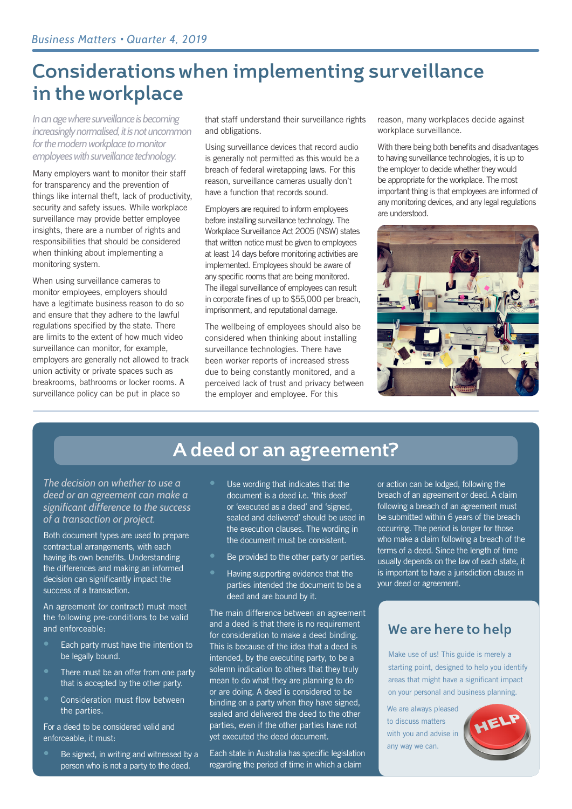# **Considerations when implementing surveillance in the workplace**

*In an age where surveillance is becoming increasingly normalised, it is not uncommon for the modern workplace to monitor employees with surveillance technology.*

Many employers want to monitor their staff for transparency and the prevention of things like internal theft, lack of productivity, security and safety issues. While workplace surveillance may provide better employee insights, there are a number of rights and responsibilities that should be considered when thinking about implementing a monitoring system.

When using surveillance cameras to monitor employees, employers should have a legitimate business reason to do so and ensure that they adhere to the lawful regulations specified by the state. There are limits to the extent of how much video surveillance can monitor, for example, employers are generally not allowed to track union activity or private spaces such as breakrooms, bathrooms or locker rooms. A surveillance policy can be put in place so

that staff understand their surveillance rights and obligations.

Using surveillance devices that record audio is generally not permitted as this would be a breach of federal wiretapping laws. For this reason, surveillance cameras usually don't have a function that records sound.

Employers are required to inform employees before installing surveillance technology. The Workplace Surveillance Act 2005 (NSW) states that written notice must be given to employees at least 14 days before monitoring activities are implemented. Employees should be aware of any specific rooms that are being monitored. The illegal surveillance of employees can result in corporate fines of up to \$55,000 per breach, imprisonment, and reputational damage.

The wellbeing of employees should also be considered when thinking about installing surveillance technologies. There have been worker reports of increased stress due to being constantly monitored, and a perceived lack of trust and privacy between the employer and employee. For this

reason, many workplaces decide against workplace surveillance.

With there being both benefits and disadvantages to having surveillance technologies, it is up to the employer to decide whether they would be appropriate for the workplace. The most important thing is that employees are informed of any monitoring devices, and any legal regulations are understood.



### **A deed or an agreement?**

*The decision on whether to use a deed or an agreement can make a significant difference to the success of a transaction or project.* 

Both document types are used to prepare contractual arrangements, with each having its own benefits. Understanding the differences and making an informed decision can significantly impact the success of a transaction.

An agreement (or contract) must meet the following pre-conditions to be valid and enforceable:

- Each party must have the intention to be legally bound.
- There must be an offer from one party that is accepted by the other party.
- Consideration must flow between the parties.

For a deed to be considered valid and enforceable, it must:

• Be signed, in writing and witnessed by a person who is not a party to the deed.

- Use wording that indicates that the document is a deed i.e. 'this deed' or 'executed as a deed' and 'signed, sealed and delivered' should be used in the execution clauses. The wording in the document must be consistent.
- Be provided to the other party or parties.
- Having supporting evidence that the parties intended the document to be a deed and are bound by it.

The main difference between an agreement and a deed is that there is no requirement for consideration to make a deed binding. This is because of the idea that a deed is intended, by the executing party, to be a solemn indication to others that they truly mean to do what they are planning to do or are doing. A deed is considered to be binding on a party when they have signed, sealed and delivered the deed to the other parties, even if the other parties have not yet executed the deed document.

Each state in Australia has specific legislation regarding the period of time in which a claim

or action can be lodged, following the breach of an agreement or deed. A claim following a breach of an agreement must be submitted within 6 years of the breach occurring. The period is longer for those who make a claim following a breach of the terms of a deed. Since the length of time usually depends on the law of each state, it is important to have a jurisdiction clause in your deed or agreement.

### **We are here to help**

Make use of us! This guide is merely a starting point, designed to help you identify areas that might have a significant impact on your personal and business planning.

We are always pleased to discuss matters with you and advise in any way we can.

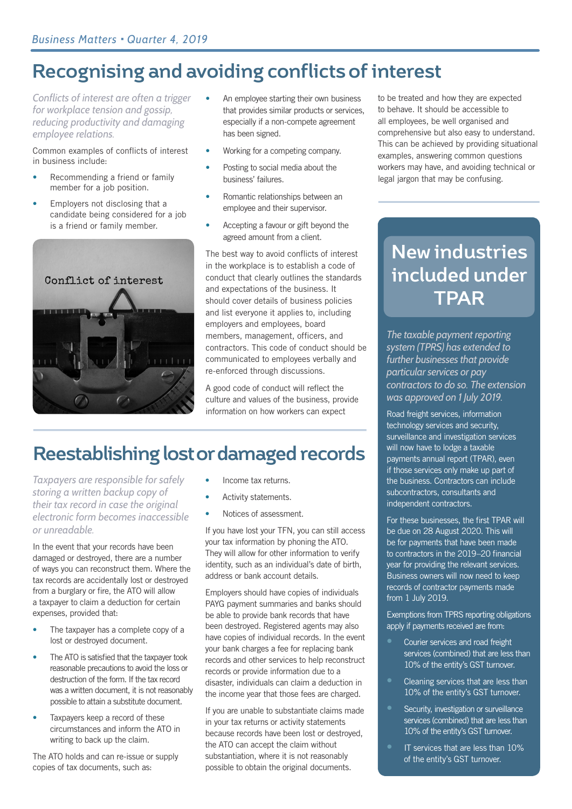# **Recognising and avoiding conflicts of interest**

*Conflicts of interest are often a trigger for workplace tension and gossip, reducing productivity and damaging employee relations.* 

Common examples of conflicts of interest in business include:

- Recommending a friend or family member for a job position.
- Employers not disclosing that a candidate being considered for a job is a friend or family member.



- An employee starting their own business that provides similar products or services, especially if a non-compete agreement has been signed.
- Working for a competing company.
- Posting to social media about the business' failures.
- Romantic relationships between an employee and their supervisor.
- Accepting a favour or gift beyond the agreed amount from a client.

The best way to avoid conflicts of interest in the workplace is to establish a code of conduct that clearly outlines the standards and expectations of the business. It should cover details of business policies and list everyone it applies to, including employers and employees, board members, management, officers, and contractors. This code of conduct should be communicated to employees verbally and re-enforced through discussions.

A good code of conduct will reflect the culture and values of the business, provide information on how workers can expect

# **Reestablishing lost or damaged records**

*Taxpayers are responsible for safely storing a written backup copy of their tax record in case the original electronic form becomes inaccessible or unreadable.* 

In the event that your records have been damaged or destroyed, there are a number of ways you can reconstruct them. Where the tax records are accidentally lost or destroyed from a burglary or fire, the ATO will allow a taxpayer to claim a deduction for certain expenses, provided that:

- The taxpayer has a complete copy of a lost or destroyed document.
- The ATO is satisfied that the taxpayer took reasonable precautions to avoid the loss or destruction of the form. If the tax record was a written document, it is not reasonably possible to attain a substitute document.
- Taxpayers keep a record of these circumstances and inform the ATO in writing to back up the claim.

The ATO holds and can re-issue or supply copies of tax documents, such as:

- Income tax returns.
- Activity statements.
- Notices of assessment.

If you have lost your TFN, you can still access your tax information by phoning the ATO. They will allow for other information to verify identity, such as an individual's date of birth, address or bank account details.

Employers should have copies of individuals PAYG payment summaries and banks should be able to provide bank records that have been destroyed. Registered agents may also have copies of individual records. In the event your bank charges a fee for replacing bank records and other services to help reconstruct records or provide information due to a disaster, individuals can claim a deduction in the income year that those fees are charged.

If you are unable to substantiate claims made in your tax returns or activity statements because records have been lost or destroyed, the ATO can accept the claim without substantiation, where it is not reasonably possible to obtain the original documents.

to be treated and how they are expected to behave. It should be accessible to all employees, be well organised and comprehensive but also easy to understand. This can be achieved by providing situational examples, answering common questions workers may have, and avoiding technical or legal jargon that may be confusing.

# **New industries included under TPAR**

*The taxable payment reporting system (TPRS) has extended to further businesses that provide particular services or pay contractors to do so. The extension was approved on 1 July 2019.* 

Road freight services, information technology services and security, surveillance and investigation services will now have to lodge a taxable payments annual report (TPAR), even if those services only make up part of the business. Contractors can include subcontractors, consultants and independent contractors.

For these businesses, the first TPAR will be due on 28 August 2020. This will be for payments that have been made to contractors in the 2019–20 financial year for providing the relevant services. Business owners will now need to keep records of contractor payments made from 1 July 2019.

Exemptions from TPRS reporting obligations apply if payments received are from:

- Courier services and road freight services (combined) that are less than 10% of the entity's GST turnover.
- Cleaning services that are less than 10% of the entity's GST turnover.
- Security, investigation or surveillance services (combined) that are less than 10% of the entity's GST turnover.
- IT services that are less than 10% of the entity's GST turnover.